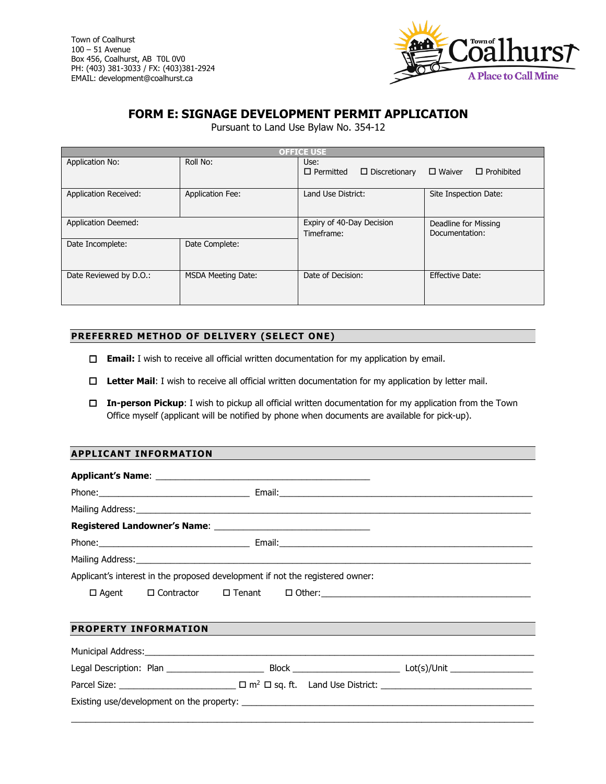Town of Coalhurst 100 – 51 Avenue Box 456, Coalhurst, AB T0L 0V0 PH: (403) 381-3033 / FX: (403)381-2924 EMAIL: development@coalhurst.ca



# **FORM E: SIGNAGE DEVELOPMENT PERMIT APPLICATION**

Pursuant to Land Use Bylaw No. 354-12

| <b>OFFICE USE</b>            |                           |                                                  |                                        |  |
|------------------------------|---------------------------|--------------------------------------------------|----------------------------------------|--|
| Application No:              | Roll No:                  | Use:<br>$\Box$ Permitted<br>$\Box$ Discretionary | $\Box$ Prohibited<br>$\Box$ Waiver     |  |
| <b>Application Received:</b> | <b>Application Fee:</b>   | Land Use District:                               | Site Inspection Date:                  |  |
| <b>Application Deemed:</b>   |                           | Expiry of 40-Day Decision<br>Timeframe:          | Deadline for Missing<br>Documentation: |  |
| Date Incomplete:             | Date Complete:            |                                                  |                                        |  |
| Date Reviewed by D.O.:       | <b>MSDA Meeting Date:</b> | Date of Decision:                                | <b>Effective Date:</b>                 |  |

## **PREFERRED METHOD OF DELIVERY (SELECT ONE)**

- **Email:** I wish to receive all official written documentation for my application by email.
- **Letter Mail**: I wish to receive all official written documentation for my application by letter mail.
- **In-person Pickup**: I wish to pickup all official written documentation for my application from the Town Office myself (applicant will be notified by phone when documents are available for pick-up).

## **APPLICANT INFORMATION**

| Applicant's interest in the proposed development if not the registered owner: |  |  |  |                                                                                  |
|-------------------------------------------------------------------------------|--|--|--|----------------------------------------------------------------------------------|
|                                                                               |  |  |  | □ Agent   □ Contractor   □ Tenant   □ Other: ___________________________________ |
| <b>PROPERTY INFORMATION</b>                                                   |  |  |  |                                                                                  |
|                                                                               |  |  |  |                                                                                  |
|                                                                               |  |  |  |                                                                                  |
|                                                                               |  |  |  |                                                                                  |
|                                                                               |  |  |  |                                                                                  |

\_\_\_\_\_\_\_\_\_\_\_\_\_\_\_\_\_\_\_\_\_\_\_\_\_\_\_\_\_\_\_\_\_\_\_\_\_\_\_\_\_\_\_\_\_\_\_\_\_\_\_\_\_\_\_\_\_\_\_\_\_\_\_\_\_\_\_\_\_\_\_\_\_\_\_\_\_\_\_\_\_\_\_\_\_\_\_\_\_\_\_\_\_\_\_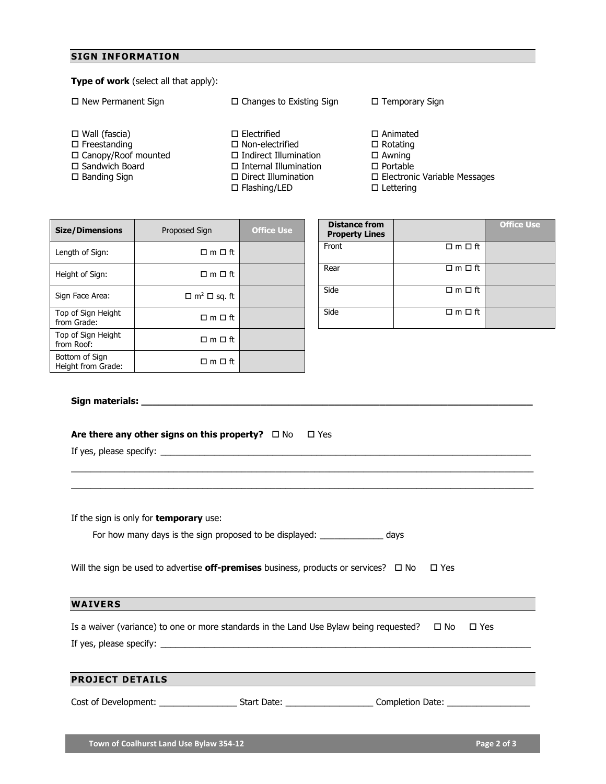## **SIGN INFORMATION**

## **Type of work** (select all that apply):

□ New Permanent Sign Wall (fascia)  $\square$  Freestanding □ Canopy/Roof mounted □ Sandwich Board □ Banding Sign  $\square$  Changes to Existing Sign □ Electrified □ Non-electrified □ Indirect Illumination Internal Illumination □ Direct Illumination □ Flashing/LED  $\square$  Temporary Sign Animated  $\square$  Rotating Awning □ Portable □ Electronic Variable Messages □ Lettering

| <b>Size/Dimensions</b>               | Proposed Sign                       | <b>Office Use</b> | <b>Distance from</b><br><b>Property Lines</b> |                          |
|--------------------------------------|-------------------------------------|-------------------|-----------------------------------------------|--------------------------|
| Length of Sign:                      | $\Box$ m $\Box$ ft                  |                   | Front                                         | $\Box$ m $\Box$ ft       |
| Height of Sign:                      | $\Box$ m $\Box$ ft                  |                   | Rear                                          | $\Box$ m $\Box$ ft       |
| Sign Face Area:                      | $\Box$ m <sup>2</sup> $\Box$ sq. ft |                   | Side                                          | $\square$ m $\square$ ft |
| Top of Sign Height<br>from Grade:    | $\Box$ m $\Box$ ft                  |                   | Side                                          | $\Box$ m $\Box$ ft       |
| Top of Sign Height<br>from Roof:     | $\Box$ m $\Box$ ft                  |                   |                                               |                          |
| Bottom of Sign<br>Height from Grade: | $\Box$ m $\Box$ ft                  |                   |                                               |                          |

| <b>Distance from</b><br><b>Property Lines</b> |                          | <b>Office Use</b> |
|-----------------------------------------------|--------------------------|-------------------|
| Front                                         | $\square$ m $\square$ ft |                   |
| Rear                                          | $\Box$ m $\Box$ ft       |                   |
| Side                                          | $\Box$ m $\Box$ ft       |                   |
| Side                                          | $\square$ m $\square$ ft |                   |

## **Sign materials: \_\_\_\_\_\_\_\_\_\_\_\_\_\_\_\_\_\_\_\_\_\_\_\_\_\_\_\_\_\_\_\_\_\_\_\_\_\_\_\_\_\_\_\_\_\_\_\_\_\_\_\_\_\_\_\_\_\_\_\_\_\_\_\_\_\_\_\_\_**

### **Are there any other signs on this property?**  $\Box$  No  $\Box$  Yes

If yes, please specify:  $\Box$ 

| If the sign is only for <b>temporary</b> use:                                                               |  |
|-------------------------------------------------------------------------------------------------------------|--|
| For how many days is the sign proposed to be displayed: __________<br>days                                  |  |
|                                                                                                             |  |
| Will the sign be used to advertise <b>off-premises</b> business, products or services? $\Box$ No $\Box$ Yes |  |
|                                                                                                             |  |

\_\_\_\_\_\_\_\_\_\_\_\_\_\_\_\_\_\_\_\_\_\_\_\_\_\_\_\_\_\_\_\_\_\_\_\_\_\_\_\_\_\_\_\_\_\_\_\_\_\_\_\_\_\_\_\_\_\_\_\_\_\_\_\_\_\_\_\_\_\_\_\_\_\_\_\_\_\_\_\_\_\_\_\_\_\_\_\_\_\_\_\_\_\_\_ \_\_\_\_\_\_\_\_\_\_\_\_\_\_\_\_\_\_\_\_\_\_\_\_\_\_\_\_\_\_\_\_\_\_\_\_\_\_\_\_\_\_\_\_\_\_\_\_\_\_\_\_\_\_\_\_\_\_\_\_\_\_\_\_\_\_\_\_\_\_\_\_\_\_\_\_\_\_\_\_\_\_\_\_\_\_\_\_\_\_\_\_\_\_\_

#### **WAIVERS**

| Is a waiver (variance) to one or more standards in the Land Use Bylaw being requested? $\Box$ No | ⊟ Yes |  |
|--------------------------------------------------------------------------------------------------|-------|--|
| If yes, please specify:                                                                          |       |  |

## **PROJECT DETAILS**

Cost of Development: \_\_\_\_\_\_\_\_\_\_\_\_\_\_\_\_\_\_\_\_\_\_\_ Start Date: \_\_\_\_\_\_\_\_\_\_\_\_\_\_\_\_\_\_\_\_\_\_\_\_ Completion Date: \_\_\_\_\_\_\_